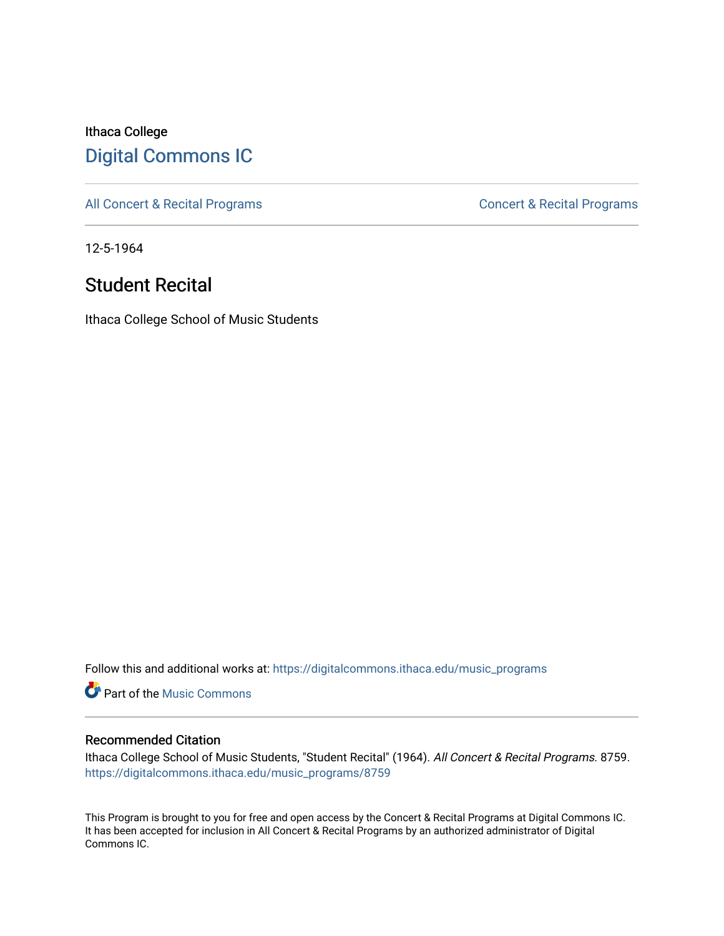## Ithaca College [Digital Commons IC](https://digitalcommons.ithaca.edu/)

[All Concert & Recital Programs](https://digitalcommons.ithaca.edu/music_programs) **Concert & Recital Programs** Concert & Recital Programs

12-5-1964

## Student Recital

Ithaca College School of Music Students

Follow this and additional works at: [https://digitalcommons.ithaca.edu/music\\_programs](https://digitalcommons.ithaca.edu/music_programs?utm_source=digitalcommons.ithaca.edu%2Fmusic_programs%2F8759&utm_medium=PDF&utm_campaign=PDFCoverPages) 

**C** Part of the Music Commons

## Recommended Citation

Ithaca College School of Music Students, "Student Recital" (1964). All Concert & Recital Programs. 8759. [https://digitalcommons.ithaca.edu/music\\_programs/8759](https://digitalcommons.ithaca.edu/music_programs/8759?utm_source=digitalcommons.ithaca.edu%2Fmusic_programs%2F8759&utm_medium=PDF&utm_campaign=PDFCoverPages) 

This Program is brought to you for free and open access by the Concert & Recital Programs at Digital Commons IC. It has been accepted for inclusion in All Concert & Recital Programs by an authorized administrator of Digital Commons IC.